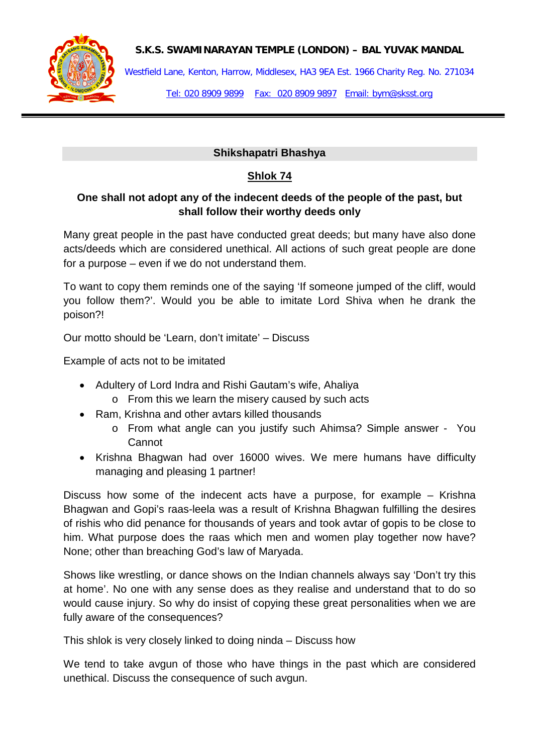

### **S.K.S. SWAMINARAYAN TEMPLE (LONDON) – BAL YUVAK MANDAL**

Westfield Lane, Kenton, Harrow, Middlesex, HA3 9EA Est. 1966 Charity Reg. No. 271034

Tel: 020 8909 9899 Fax: 020 8909 9897 Email: bym@sksst.org

### **Shikshapatri Bhashya**

# **Shlok 74**

# **One shall not adopt any of the indecent deeds of the people of the past, but shall follow their worthy deeds only**

Many great people in the past have conducted great deeds; but many have also done acts/deeds which are considered unethical. All actions of such great people are done for a purpose – even if we do not understand them.

To want to copy them reminds one of the saying 'If someone jumped of the cliff, would you follow them?'. Would you be able to imitate Lord Shiva when he drank the poison?!

Our motto should be 'Learn, don't imitate' – Discuss

Example of acts not to be imitated

- Adultery of Lord Indra and Rishi Gautam's wife, Ahaliya
	- o From this we learn the misery caused by such acts
- Ram, Krishna and other avtars killed thousands
	- o From what angle can you justify such Ahimsa? Simple answer You Cannot
- Krishna Bhagwan had over 16000 wives. We mere humans have difficulty managing and pleasing 1 partner!

Discuss how some of the indecent acts have a purpose, for example – Krishna Bhagwan and Gopi's raas-leela was a result of Krishna Bhagwan fulfilling the desires of rishis who did penance for thousands of years and took avtar of gopis to be close to him. What purpose does the raas which men and women play together now have? None; other than breaching God's law of Maryada.

Shows like wrestling, or dance shows on the Indian channels always say 'Don't try this at home'. No one with any sense does as they realise and understand that to do so would cause injury. So why do insist of copying these great personalities when we are fully aware of the consequences?

This shlok is very closely linked to doing ninda – Discuss how

We tend to take avgun of those who have things in the past which are considered unethical. Discuss the consequence of such avgun.